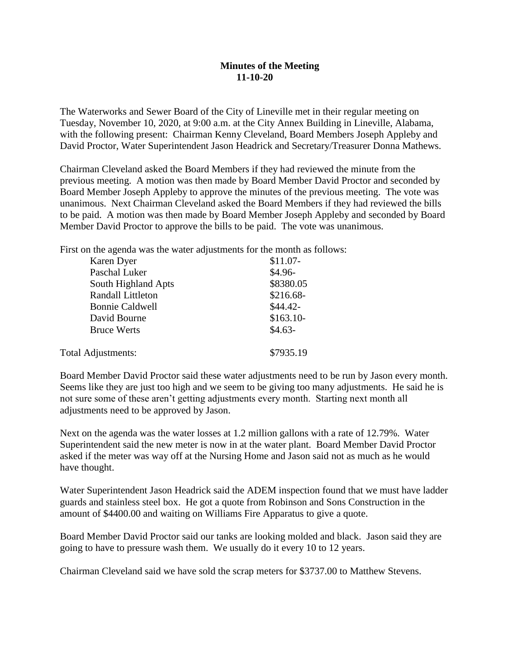## **Minutes of the Meeting 11-10-20**

The Waterworks and Sewer Board of the City of Lineville met in their regular meeting on Tuesday, November 10, 2020, at 9:00 a.m. at the City Annex Building in Lineville, Alabama, with the following present: Chairman Kenny Cleveland, Board Members Joseph Appleby and David Proctor, Water Superintendent Jason Headrick and Secretary/Treasurer Donna Mathews.

Chairman Cleveland asked the Board Members if they had reviewed the minute from the previous meeting. A motion was then made by Board Member David Proctor and seconded by Board Member Joseph Appleby to approve the minutes of the previous meeting. The vote was unanimous. Next Chairman Cleveland asked the Board Members if they had reviewed the bills to be paid. A motion was then made by Board Member Joseph Appleby and seconded by Board Member David Proctor to approve the bills to be paid. The vote was unanimous.

First on the agenda was the water adjustments for the month as follows:

| Karen Dyer               | $$11.07-$  |
|--------------------------|------------|
| Paschal Luker            | $$4.96-$   |
| South Highland Apts      | \$8380.05  |
| <b>Randall Littleton</b> | $$216.68-$ |
| <b>Bonnie Caldwell</b>   | $$44.42-$  |
| David Bourne             | $$163.10-$ |
| <b>Bruce Werts</b>       | $$4.63-$   |
| Total Adjustments:       | \$7935.19  |

Board Member David Proctor said these water adjustments need to be run by Jason every month. Seems like they are just too high and we seem to be giving too many adjustments. He said he is not sure some of these aren't getting adjustments every month. Starting next month all adjustments need to be approved by Jason.

Next on the agenda was the water losses at 1.2 million gallons with a rate of 12.79%. Water Superintendent said the new meter is now in at the water plant. Board Member David Proctor asked if the meter was way off at the Nursing Home and Jason said not as much as he would have thought.

Water Superintendent Jason Headrick said the ADEM inspection found that we must have ladder guards and stainless steel box. He got a quote from Robinson and Sons Construction in the amount of \$4400.00 and waiting on Williams Fire Apparatus to give a quote.

Board Member David Proctor said our tanks are looking molded and black. Jason said they are going to have to pressure wash them. We usually do it every 10 to 12 years.

Chairman Cleveland said we have sold the scrap meters for \$3737.00 to Matthew Stevens.